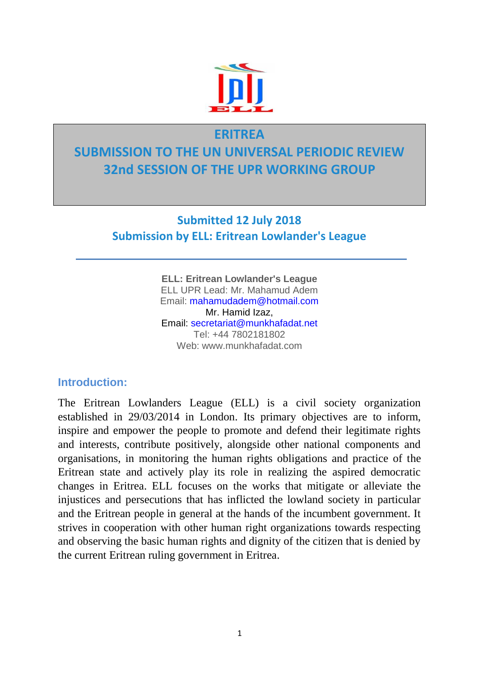

# **ERITREA SUBMISSION TO THE UN UNIVERSAL PERIODIC REVIEW 32nd SESSION OF THE UPR WORKING GROUP**

**Submitted 12 July 2018 Submission by ELL: Eritrean Lowlander's League**

> **ELL: Eritrean Lowlander's League** ELL UPR Lead: Mr. Mahamud Adem Email: mahamudadem@hotmail.com Mr. Hamid Izaz, Email: secretariat@munkhafadat.net Tel: +44 7802181802 Web: www.munkhafadat.com

# **Introduction:**

The Eritrean Lowlanders League (ELL) is a civil society organization established in 29/03/2014 in London. Its primary objectives are to inform, inspire and empower the people to promote and defend their legitimate rights and interests, contribute positively, alongside other national components and organisations, in monitoring the human rights obligations and practice of the Eritrean state and actively play its role in realizing the aspired democratic changes in Eritrea. ELL focuses on the works that mitigate or alleviate the injustices and persecutions that has inflicted the lowland society in particular and the Eritrean people in general at the hands of the incumbent government. It strives in cooperation with other human right organizations towards respecting and observing the basic human rights and dignity of the citizen that is denied by the current Eritrean ruling government in Eritrea.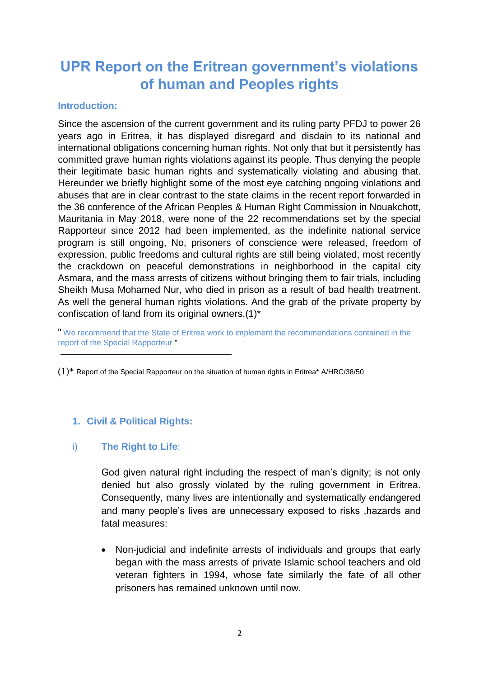# **UPR Report on the Eritrean government's violations of human and Peoples rights**

#### **Introduction:**

Since the ascension of the current government and its ruling party PFDJ to power 26 years ago in Eritrea, it has displayed disregard and disdain to its national and international obligations concerning human rights. Not only that but it persistently has committed grave human rights violations against its people. Thus denying the people their legitimate basic human rights and systematically violating and abusing that. Hereunder we briefly highlight some of the most eye catching ongoing violations and abuses that are in clear contrast to the state claims in the recent report forwarded in the 36 conference of the African Peoples & Human Right Commission in Nouakchott, Mauritania in May 2018, were none of the 22 recommendations set by the special Rapporteur since 2012 had been implemented, as the indefinite national service program is still ongoing, No, prisoners of conscience were released, freedom of expression, public freedoms and cultural rights are still being violated, most recently the crackdown on peaceful demonstrations in neighborhood in the capital city Asmara, and the mass arrests of citizens without bringing them to fair trials, including Sheikh Musa Mohamed Nur, who died in prison as a result of bad health treatment. As well the general human rights violations. And the grab of the private property by confiscation of land from its original owners.(1)\*

" We recommend that the State of Eritrea work to implement the recommendations contained in the report of the Special Rapporteur "

# **1. Civil & Political Rights:**

## i) **The Right to Life**:

God given natural right including the respect of man's dignity; is not only denied but also grossly violated by the ruling government in Eritrea. Consequently, many lives are intentionally and systematically endangered and many people's lives are unnecessary exposed to risks ,hazards and fatal measures:

• Non-judicial and indefinite arrests of individuals and groups that early began with the mass arrests of private Islamic school teachers and old veteran fighters in 1994, whose fate similarly the fate of all other prisoners has remained unknown until now.

<sup>(1)\*</sup> Report of the Special Rapporteur on the situation of human rights in Eritrea\* A/HRC/38/50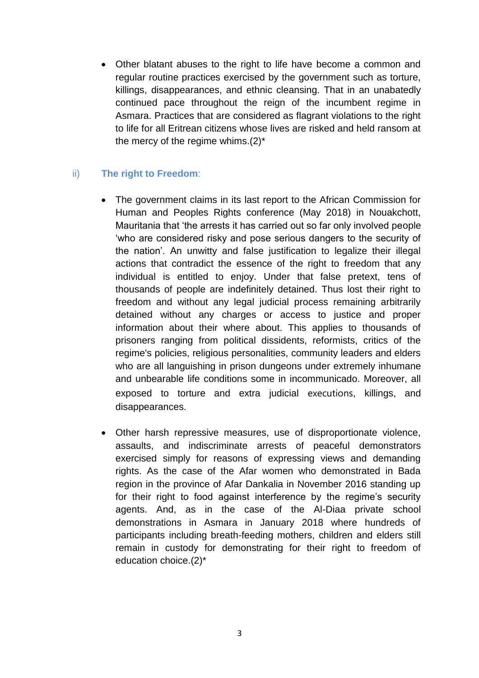• Other blatant abuses to the right to life have become a common and regular routine practices exercised by the government such as torture, killings, disappearances, and ethnic cleansing. That in an unabatedly continued pace throughout the reign of the incumbent regime in Asmara. Practices that are considered as flagrant violations to the right to life for all Eritrean citizens whose lives are risked and held ransom at the mercy of the regime whims. $(2)^*$ 

# ii) **The right to Freedom**:

- The government claims in its last report to the African Commission for Human and Peoples Rights conference (May 2018) in Nouakchott, Mauritania that 'the arrests it has carried out so far only involved people 'who are considered risky and pose serious dangers to the security of the nation'. An unwitty and false justification to legalize their illegal actions that contradict the essence of the right to freedom that any individual is entitled to enjoy. Under that false pretext, tens of thousands of people are indefinitely detained. Thus lost their right to freedom and without any legal judicial process remaining arbitrarily detained without any charges or access to justice and proper information about their where about. This applies to thousands of prisoners ranging from political dissidents, reformists, critics of the regime's policies, religious personalities, community leaders and elders who are all languishing in prison dungeons under extremely inhumane and unbearable life conditions some in incommunicado. Moreover, all exposed to torture and extra judicial executions, killings, and disappearances.
- Other harsh repressive measures, use of disproportionate violence, assaults, and indiscriminate arrests of peaceful demonstrators exercised simply for reasons of expressing views and demanding rights. As the case of the Afar women who demonstrated in Bada region in the province of Afar Dankalia in November 2016 standing up for their right to food against interference by the regime's security agents. And, as in the case of the Al-Diaa private school demonstrations in Asmara in January 2018 where hundreds of participants including breath-feeding mothers, children and elders still remain in custody for demonstrating for their right to freedom of education choice.(2)\*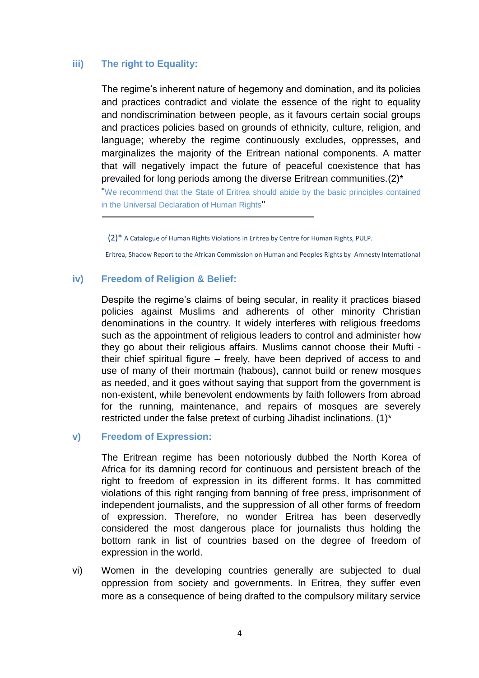# **iii) The right to Equality:**

The regime's inherent nature of hegemony and domination, and its policies and practices contradict and violate the essence of the right to equality and nondiscrimination between people, as it favours certain social groups and practices policies based on grounds of ethnicity, culture, religion, and language; whereby the regime continuously excludes, oppresses, and marginalizes the majority of the Eritrean national components. A matter that will negatively impact the future of peaceful coexistence that has prevailed for long periods among the diverse Eritrean communities.(2)\*

"We recommend that the State of Eritrea should abide by the basic principles contained in the Universal Declaration of Human Rights"

(2)\* A Catalogue of Human Rights Violations in Eritrea by Centre for Human Rights, PULP.

Eritrea, Shadow Report to the African Commission on Human and Peoples Rights by Amnesty International

#### **iv) Freedom of Religion & Belief:**

Despite the regime's claims of being secular, in reality it practices biased policies against Muslims and adherents of other minority Christian denominations in the country. It widely interferes with religious freedoms such as the appointment of religious leaders to control and administer how they go about their religious affairs. Muslims cannot choose their Mufti their chief spiritual figure – freely, have been deprived of access to and use of many of their mortmain (habous), cannot build or renew mosques as needed, and it goes without saying that support from the government is non-existent, while benevolent endowments by faith followers from abroad for the running, maintenance, and repairs of mosques are severely restricted under the false pretext of curbing Jihadist inclinations. (1)\*

#### **v) Freedom of Expression:**

The Eritrean regime has been notoriously dubbed the North Korea of Africa for its damning record for continuous and persistent breach of the right to freedom of expression in its different forms. It has committed violations of this right ranging from banning of free press, imprisonment of independent journalists, and the suppression of all other forms of freedom of expression. Therefore, no wonder Eritrea has been deservedly considered the most dangerous place for journalists thus holding the bottom rank in list of countries based on the degree of freedom of expression in the world.

vi) Women in the developing countries generally are subjected to dual oppression from society and governments. In Eritrea, they suffer even more as a consequence of being drafted to the compulsory military service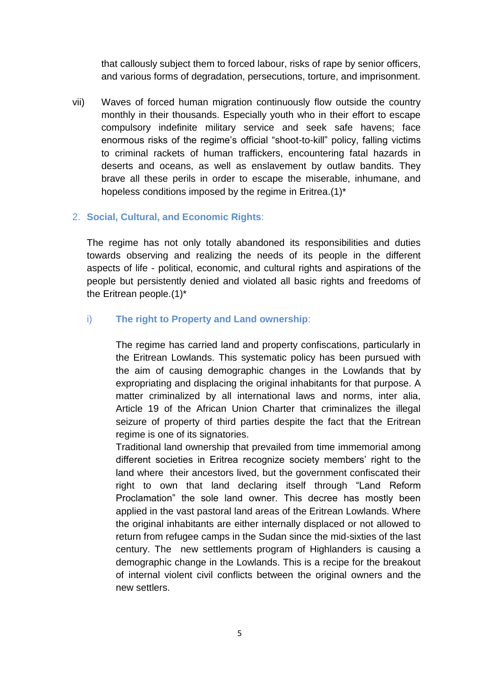that callously subject them to forced labour, risks of rape by senior officers, and various forms of degradation, persecutions, torture, and imprisonment.

vii) Waves of forced human migration continuously flow outside the country monthly in their thousands. Especially youth who in their effort to escape compulsory indefinite military service and seek safe havens; face enormous risks of the regime's official "shoot-to-kill" policy, falling victims to criminal rackets of human traffickers, encountering fatal hazards in deserts and oceans, as well as enslavement by outlaw bandits. They brave all these perils in order to escape the miserable, inhumane, and hopeless conditions imposed by the regime in Eritrea.(1)\*

# 2. **Social, Cultural, and Economic Rights**:

The regime has not only totally abandoned its responsibilities and duties towards observing and realizing the needs of its people in the different aspects of life - political, economic, and cultural rights and aspirations of the people but persistently denied and violated all basic rights and freedoms of the Eritrean people.(1)\*

# i) **The right to Property and Land ownership**:

The regime has carried land and property confiscations, particularly in the Eritrean Lowlands. This systematic policy has been pursued with the aim of causing demographic changes in the Lowlands that by expropriating and displacing the original inhabitants for that purpose. A matter criminalized by all international laws and norms, inter alia, Article 19 of the African Union Charter that criminalizes the illegal seizure of property of third parties despite the fact that the Eritrean regime is one of its signatories.

Traditional land ownership that prevailed from time immemorial among different societies in Eritrea recognize society members' right to the land where their ancestors lived, but the government confiscated their right to own that land declaring itself through "Land Reform Proclamation" the sole land owner. This decree has mostly been applied in the vast pastoral land areas of the Eritrean Lowlands. Where the original inhabitants are either internally displaced or not allowed to return from refugee camps in the Sudan since the mid-sixties of the last century. The new settlements program of Highlanders is causing a demographic change in the Lowlands. This is a recipe for the breakout of internal violent civil conflicts between the original owners and the new settlers.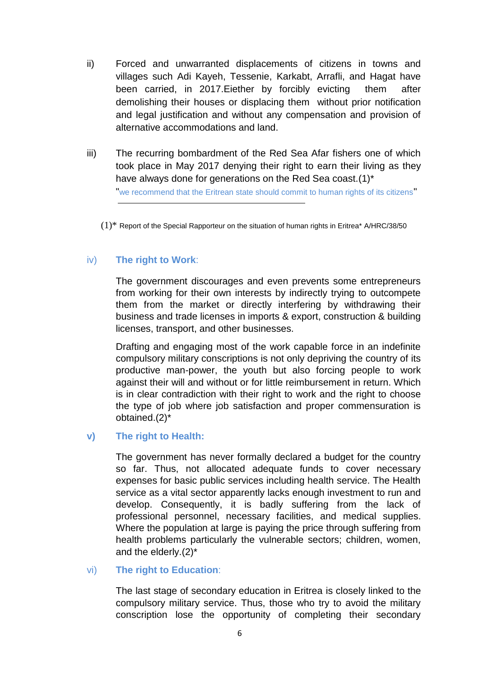- ii) Forced and unwarranted displacements of citizens in towns and villages such Adi Kayeh, Tessenie, Karkabt, Arrafli, and Hagat have been carried, in 2017.Eiether by forcibly evicting them after demolishing their houses or displacing them without prior notification and legal justification and without any compensation and provision of alternative accommodations and land.
- iii) The recurring bombardment of the Red Sea Afar fishers one of which took place in May 2017 denying their right to earn their living as they have always done for generations on the Red Sea coast.(1)\* "we recommend that the Eritrean state should commit to human rights of its citizens"
	- $(1)$ <sup>\*</sup> Report of the Special Rapporteur on the situation of human rights in Eritrea<sup>\*</sup> A/HRC/38/50

# iv) **The right to Work**:

The government discourages and even prevents some entrepreneurs from working for their own interests by indirectly trying to outcompete them from the market or directly interfering by withdrawing their business and trade licenses in imports & export, construction & building licenses, transport, and other businesses.

Drafting and engaging most of the work capable force in an indefinite compulsory military conscriptions is not only depriving the country of its productive man-power, the youth but also forcing people to work against their will and without or for little reimbursement in return. Which is in clear contradiction with their right to work and the right to choose the type of job where job satisfaction and proper commensuration is obtained.(2)\*

## **v) The right to Health:**

The government has never formally declared a budget for the country so far. Thus, not allocated adequate funds to cover necessary expenses for basic public services including health service. The Health service as a vital sector apparently lacks enough investment to run and develop. Consequently, it is badly suffering from the lack of professional personnel, necessary facilities, and medical supplies. Where the population at large is paying the price through suffering from health problems particularly the vulnerable sectors; children, women, and the elderly.(2)\*

## vi) **The right to Education**:

The last stage of secondary education in Eritrea is closely linked to the compulsory military service. Thus, those who try to avoid the military conscription lose the opportunity of completing their secondary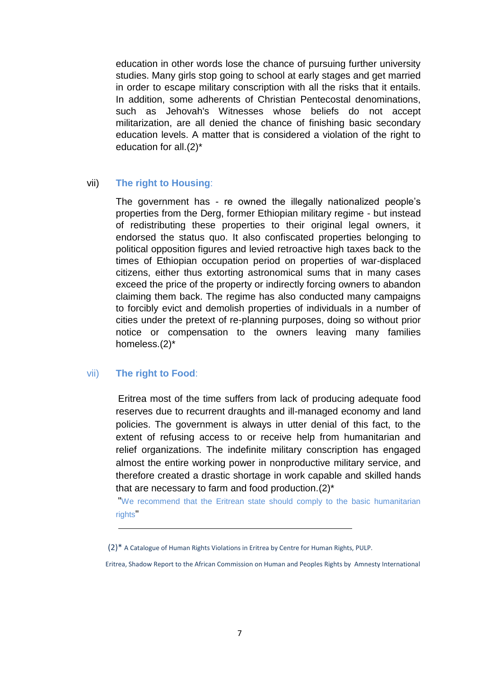education in other words lose the chance of pursuing further university studies. Many girls stop going to school at early stages and get married in order to escape military conscription with all the risks that it entails. In addition, some adherents of Christian Pentecostal denominations, such as Jehovah's Witnesses whose beliefs do not accept militarization, are all denied the chance of finishing basic secondary education levels. A matter that is considered a violation of the right to education for all.(2)\*

#### vii) **The right to Housing**:

The government has - re owned the illegally nationalized people's properties from the Derg, former Ethiopian military regime - but instead of redistributing these properties to their original legal owners, it endorsed the status quo. It also confiscated properties belonging to political opposition figures and levied retroactive high taxes back to the times of Ethiopian occupation period on properties of war-displaced citizens, either thus extorting astronomical sums that in many cases exceed the price of the property or indirectly forcing owners to abandon claiming them back. The regime has also conducted many campaigns to forcibly evict and demolish properties of individuals in a number of cities under the pretext of re-planning purposes, doing so without prior notice or compensation to the owners leaving many families homeless.(2)\*

## vii) **The right to Food**:

Eritrea most of the time suffers from lack of producing adequate food reserves due to recurrent draughts and ill-managed economy and land policies. The government is always in utter denial of this fact, to the extent of refusing access to or receive help from humanitarian and relief organizations. The indefinite military conscription has engaged almost the entire working power in nonproductive military service, and therefore created a drastic shortage in work capable and skilled hands that are necessary to farm and food production.(2)\*

"We recommend that the Eritrean state should comply to the basic humanitarian rights"

<sup>(2)\*</sup> A Catalogue of Human Rights Violations in Eritrea by Centre for Human Rights, PULP.

Eritrea, Shadow Report to the African Commission on Human and Peoples Rights by Amnesty International